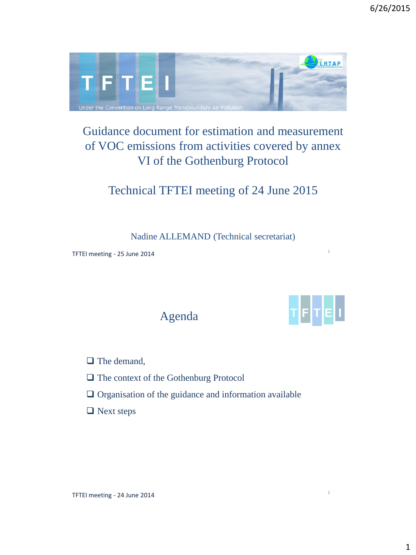

## Guidance document for estimation and measurement of VOC emissions from activities covered by annex VI of the Gothenburg Protocol

Technical TFTEI meeting of 24 June 2015

Nadine ALLEMAND (Technical secretariat)

TFTEI meeting - 25 June 2014

Agenda



1

2

 $\Box$  The demand,

- The context of the Gothenburg Protocol
- $\Box$  Organisation of the guidance and information available
- □ Next steps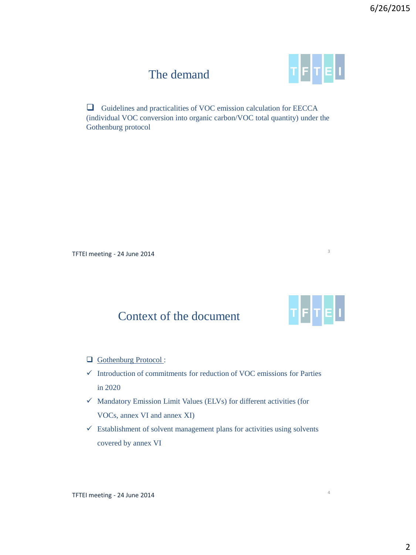## The demand



 Guidelines and practicalities of VOC emission calculation for EECCA (individual VOC conversion into organic carbon/VOC total quantity) under the Gothenburg protocol

TFTEI meeting - 24 June 2014



3

4

# Context of the document

- Gothenburg Protocol :
- $\checkmark$  Introduction of commitments for reduction of VOC emissions for Parties in 2020
- $\checkmark$  Mandatory Emission Limit Values (ELVs) for different activities (for VOCs, annex VI and annex XI)
- $\checkmark$  Establishment of solvent management plans for activities using solvents covered by annex VI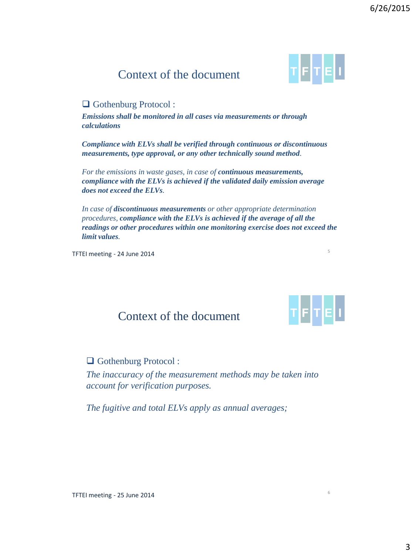3

## Context of the document

#### □ Gothenburg Protocol :

*Emissions shall be monitored in all cases via measurements or through calculations*

*Compliance with ELVs shall be verified through continuous or discontinuous measurements, type approval, or any other technically sound method.* 

*For the emissions in waste gases, in case of continuous measurements, compliance with the ELVs is achieved if the validated daily emission average does not exceed the ELVs.* 

*In case of discontinuous measurements or other appropriate determination procedures, compliance with the ELVs is achieved if the average of all the readings or other procedures within one monitoring exercise does not exceed the limit values.* 

TFTEI meeting - 24 June 2014

## Context of the document

Gothenburg Protocol :

*The inaccuracy of the measurement methods may be taken into account for verification purposes.* 

*The fugitive and total ELVs apply as annual averages;* 





5

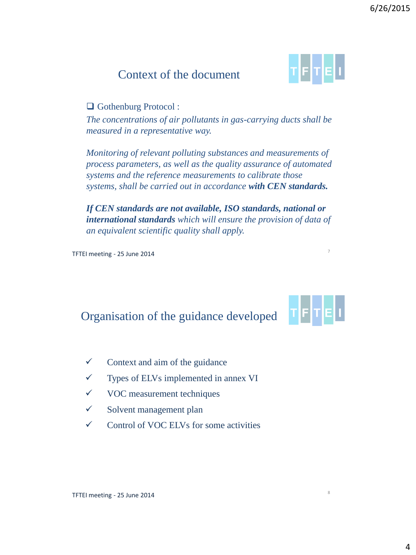4

## Context of the document

### □ Gothenburg Protocol :

*The concentrations of air pollutants in gas-carrying ducts shall be measured in a representative way.* 

*Monitoring of relevant polluting substances and measurements of process parameters, as well as the quality assurance of automated systems and the reference measurements to calibrate those systems, shall be carried out in accordance with CEN standards.* 

*If CEN standards are not available, ISO standards, national or international standards which will ensure the provision of data of an equivalent scientific quality shall apply.*

TFTEI meeting - 25 June 2014

## Organisation of the guidance developed

- $\checkmark$  Context and aim of the guidance
- $\checkmark$  Types of ELVs implemented in annex VI
- $\checkmark$  VOC measurement techniques
- $\checkmark$  Solvent management plan
- $\checkmark$  Control of VOC ELVs for some activities







8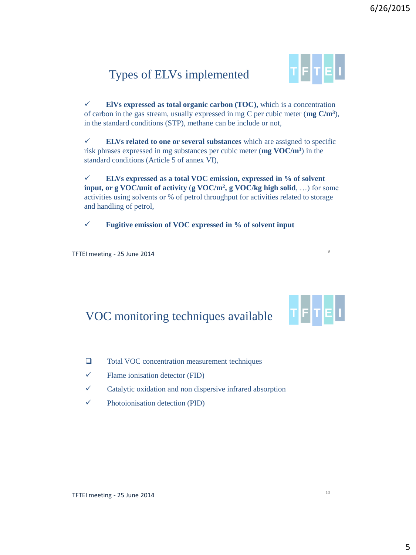## Types of ELVs implemented



 $\checkmark$  **ElVs** expressed as total organic carbon (TOC), which is a concentration of carbon in the gas stream, usually expressed in mg C per cubic meter (**mg C/m<sup>3</sup>** ), in the standard conditions (STP), methane can be include or not,

 **ELVs related to one or several substances** which are assigned to specific risk phrases expressed in mg substances per cubic meter (**mg VOC/m<sup>3</sup>** ) in the standard conditions (Article 5 of annex VI),

 **ELVs expressed as a total VOC emission, expressed in % of solvent input, or g VOC/unit of activity** (**g VOC/m<sup>2</sup> , g VOC/kg high solid**, …) for some activities using solvents or % of petrol throughput for activities related to storage and handling of petrol,

**Fugitive emission of VOC expressed in % of solvent input**

TFTEI meeting - 25 June 2014

### VOC monitoring techniques available



- □ Total VOC concentration measurement techniques
- $\checkmark$  Flame ionisation detector (FID)
- $\checkmark$  Catalytic oxidation and non dispersive infrared absorption
- $\checkmark$  Photoionisation detection (PID)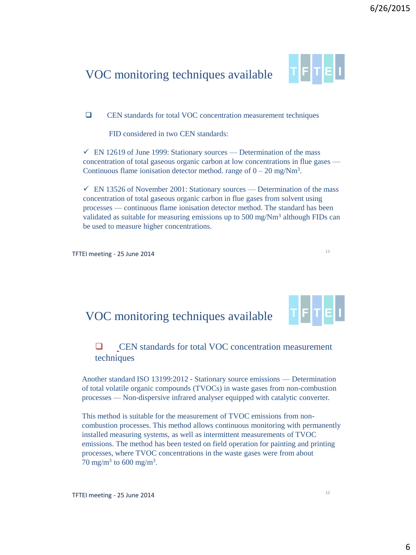### VOC monitoring techniques available



CEN standards for total VOC concentration measurement techniques

FID considered in two CEN standards:

 $\checkmark$  EN 12619 of June 1999: Stationary sources — Determination of the mass concentration of total gaseous organic carbon at low concentrations in flue gases — Continuous flame ionisation detector method. range of  $0 - 20$  mg/Nm<sup>3</sup>.

 $\checkmark$  EN 13526 of November 2001: Stationary sources — Determination of the mass concentration of total gaseous organic carbon in flue gases from solvent using processes — continuous flame ionisation detector method. The standard has been validated as suitable for measuring emissions up to  $500 \text{ mg/Nm}^3$  although FIDs can be used to measure higher concentrations.

TFTEI meeting - 25 June 2014

## VOC monitoring techniques available



11

#### **Q** CEN standards for total VOC concentration measurement techniques

Another standard ISO 13199:2012 - Stationary source emissions — Determination of total volatile organic compounds (TVOCs) in waste gases from non-combustion processes — Non-dispersive infrared analyser equipped with catalytic converter.

This method is suitable for the measurement of TVOC emissions from noncombustion processes. This method allows continuous monitoring with permanently installed measuring systems, as well as intermittent measurements of TVOC emissions. The method has been tested on field operation for painting and printing processes, where TVOC concentrations in the waste gases were from about 70 mg/m<sup>3</sup> to 600 mg/m<sup>3</sup>.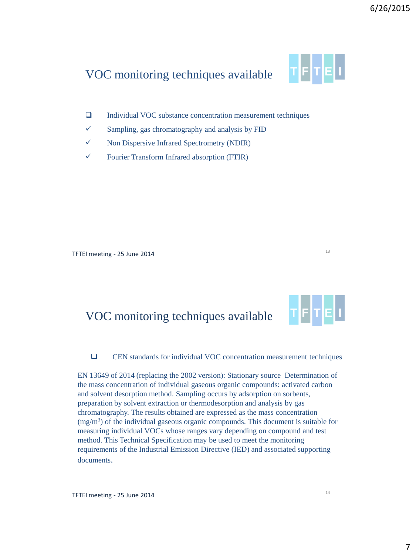## VOC monitoring techniques available

- TFTEU
- Individual VOC substance concentration measurement techniques
- $\checkmark$  Sampling, gas chromatography and analysis by FID
- $\checkmark$  Non Dispersive Infrared Spectrometry (NDIR)
- $\checkmark$  Fourier Transform Infrared absorption (FTIR)

TFTEI meeting - 25 June 2014

### VOC monitoring techniques available

CEN standards for individual VOC concentration measurement techniques

EN 13649 of 2014 (replacing the 2002 version): Stationary source Determination of the mass concentration of individual gaseous organic compounds: activated carbon and solvent desorption method. Sampling occurs by adsorption on sorbents, preparation by solvent extraction or thermodesorption and analysis by gas chromatography. The results obtained are expressed as the mass concentration (mg/m<sup>3</sup> ) of the individual gaseous organic compounds. This document is suitable for measuring individual VOCs whose ranges vary depending on compound and test method. This Technical Specification may be used to meet the monitoring requirements of the Industrial Emission Directive (IED) and associated supporting documents.

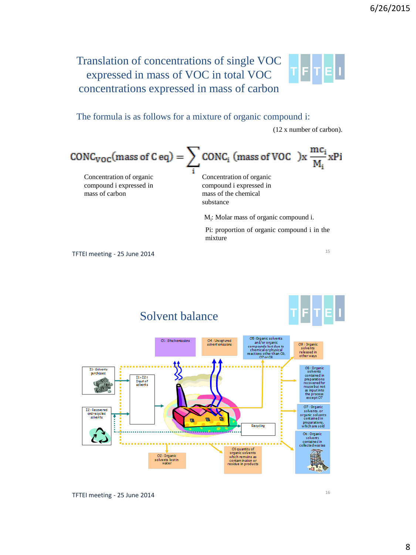#### Translation of concentrations of single VOC TFIT expressed in mass of VOC in total VOC concentrations expressed in mass of carbon  **Task force on Techno-Economic Issues**

The formula is as follows for a mixture of organic compound i:

(12 x number of carbon).

15

$$
CONC_{VOC}(mass of C eq) = \sum_{i} CONC_{i} (mass of VOC) \times \frac{mc_{i}}{M_{i}} \times Pi
$$

Concentration of organic compound i expressed in mass of carbon

Concentration of organic compound i expressed in mass of the chemical substance

M<sub>i</sub>: Molar mass of organic compound i.

Pi: proportion of organic compound i in the mixture

TFTEI meeting - 25 June 2014

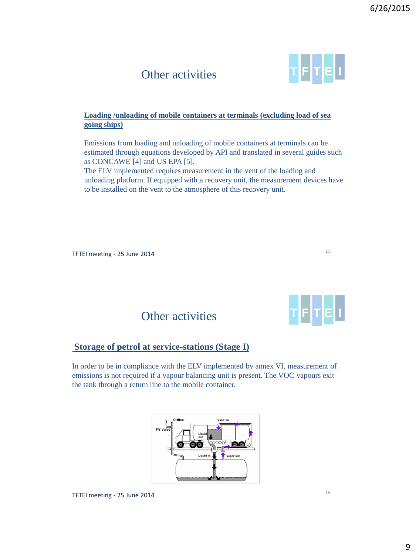## Other activities

#### **Loading /unloading of mobile containers at terminals (excluding load of sea going ships)**

Emissions from loading and unloading of mobile containers at terminals can be estimated through equations developed by API and translated in several guides such as CONCAWE [4] and US EPA [5].

The ELV implemented requires measurement in the vent of the loading and unloading platform. If equipped with a recovery unit, the measurement devices have to be installed on the vent to the atmosphere of this recovery unit.

TFTEI meeting - 25 June 2014

Other activities

#### **Storage of petrol at service-stations (Stage I)**

In order to be in compliance with the ELV implemented by annex VI, measurement of emissions is not required if a vapour balancing unit is present. The VOC vapours exit the tank through a return line to the mobile container.





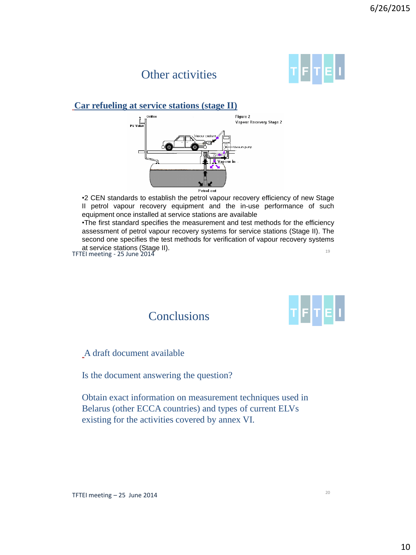## Other activities



#### **Car refueling at service stations (stage II)**



•2 CEN standards to establish the petrol vapour recovery efficiency of new Stage II petrol vapour recovery equipment and the in-use performance of such equipment once installed at service stations are available

19 •The first standard specifies the measurement and test methods for the efficiency assessment of petrol vapour recovery systems for service stations (Stage II). The second one specifies the test methods for verification of vapour recovery systems at service stations (Stage II).

TFTEI meeting - 25 June 2014



A draft document available

Is the document answering the question?

**Conclusions** 

Obtain exact information on measurement techniques used in Belarus (other ECCA countries) and types of current ELVs existing for the activities covered by annex VI.